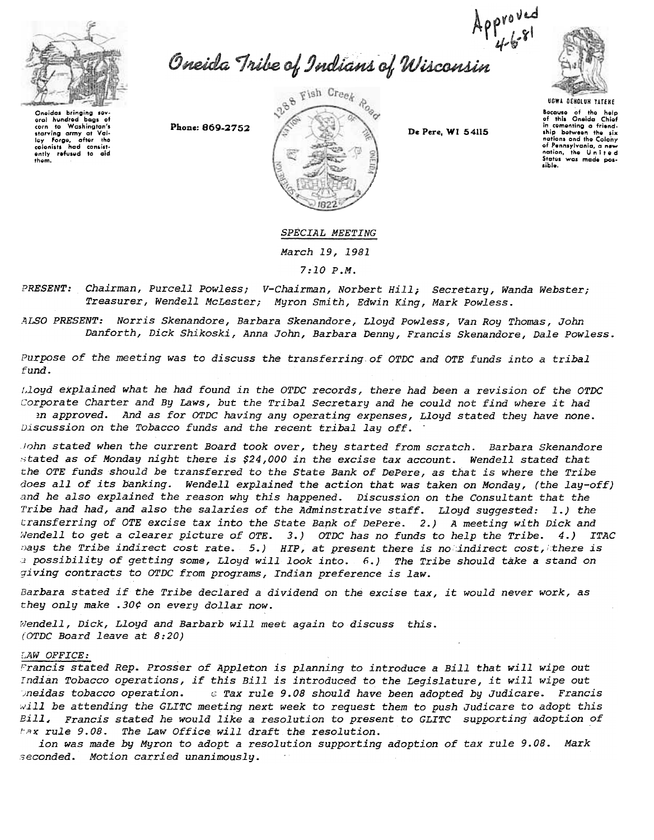



Oneidas bringing sev aral hundred bags of<br>corn to Washington's washington's<br>army at Valstarving army at lay Forge, after the<br>colonists had consist-<br>ently refused to aid thgm.





Bocause of the help<br>of this Oneida Chie<br>in comenting a friend<br>ship between the six nations and the Colony of Pennsylvania, a new<br>nation, the Unite c States was made pos-

SPECIAL MEETING

March 19, 1981

7:10 P.M.

PRESENT: Chairman, Purcell Powless; V-Chairman, Norbert Hill; Secretary, Wanda Webster; Treasurer, Wendell McLester; Myron Smith, Edwin King, Mark Powless.

.ZlLSO PRESENT: Norris Skenandore, Barbara Skenandore, Lloyd Powless, Van Roy Thomas, John Danforth, Dick Shikoski, Anna John, Barbara Denny, Francis Skenandore, Dale Powless.

Purpose of the meeting was to discuss the transferring of OTDC and OTE funds into a tribal fund.

J,loyd explained what he had found in the OTDC records, there had been a revision of the OTDC corporate Charter and By Laws, but the Tribal Secretary and he could not find where it had ~n approved. And as for OTDC having any operating expenses, Lloyd stated they have none. Discussion on the Tobacco funds and the recent tribal lay off.

fohn stated when the current Board took over, they started from scratch. Barbara Skenandore stated as of Monday night there is \$24,000 in the excise tax account. Wendell stated that the OTE funds should be transferred to the State Bank of DePere, as that is where the Tribe does all of its banking. Wendell explained the action that was taken on Monday, (the lay-off) and he also explained the reason why this happened. Discussion on the Consultant that the Tribe had had, and also the salaries of the Adminstrative staff. Lloyd suggested: 1.) the transferring of OTE excise tax into the State Bapk of DePere. 2.) A meeting with Dick and Wendell to get a clearer picture of OTE. 3.) OTDC has no funds to help the Tribe. 4.) ITAC hays the Tribe indirect cost rate. 5.) HIP, at present there is no indirect cost, there is 1 possibility of getting some, Lloyd will look into. 6.) The Tribe should take a stand on giving contracts to OTDC from programs, Indian preference is law.

Barbara stated if the Tribe declared a dividend on the excise tax, it would never work, as they only make .30¢ on every dollar now.

Wendell, Dick, Lloyd and Barbarb will meet again to discuss this. (OTDC Board leave at 8:20)

## LAW OFFICE:

Francis stated Rep. Prosser of Appleton is planning to introduce a Bill that will wipe out Indian Tobacco operations, if this Bill is introduced to the Legislature, it will wipe out )neidas tobacco operation. ~, Tax rule 9.08 should have been adopted by Judicare. Francis  $will$  be attending the GLITC meeting next week to request them to push Judicare to adopt this Bill, Francis stated he would like a resolution to present to GLITC supporting adoption of tax rule 9.08. The Law Office will draft the resolution.

ion was made by Myron to adopt a resolution supporting adoption of tax rule 9.08. Mark seconded. Motion carried unanimously.